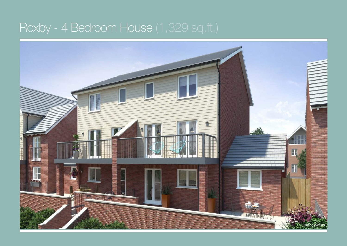## Roxby - 4 Bedroom House (1,329 sq.ft.)